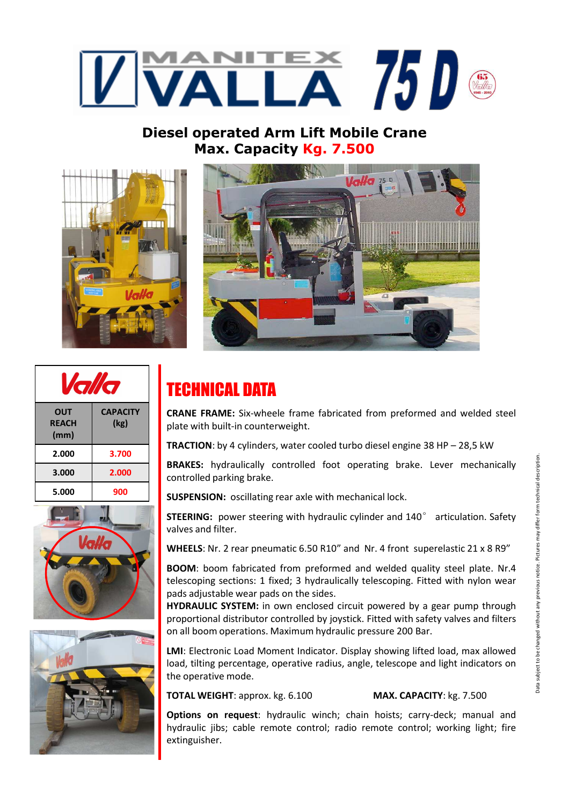

## **Diesel operated Arm Lift Mobile Crane Max. Capacity Kg. 7.500**





| $\bullet$<br>0                     |                         |
|------------------------------------|-------------------------|
| <b>OUT</b><br><b>REACH</b><br>(mm) | <b>CAPACITY</b><br>(kg) |
| 2.000                              | 3.700                   |
| 3.000                              | 2.000                   |
| 5.000                              | 900                     |





## TECHNICAL DATA

**CRANE FRAME:** Six-wheele frame fabricated from preformed and welded steel plate with built-in counterweight.

**TRACTION**: by 4 cylinders, water cooled turbo diesel engine 38 HP – 28,5 kW

**BRAKES:** hydraulically controlled foot operating brake. Lever mechanically controlled parking brake.

**SUSPENSION:** oscillating rear axle with mechanical lock.

**STEERING:** power steering with hydraulic cylinder and 140° articulation. Safety valves and filter.

**WHEELS**: Nr. 2 rear pneumatic 6.50 R10" and Nr. 4 front superelastic 21 x 8 R9"

**BOOM**: boom fabricated from preformed and welded quality steel plate. Nr.4 telescoping sections: 1 fixed; 3 hydraulically telescoping. Fitted with nylon wear pads adjustable wear pads on the sides.

**HYDRAULIC SYSTEM:** in own enclosed circuit powered by a gear pump through proportional distributor controlled by joystick. Fitted with safety valves and filters on all boom operations. Maximum hydraulic pressure 200 Bar.

**LMI**: Electronic Load Moment Indicator. Display showing lifted load, max allowed load, tilting percentage, operative radius, angle, telescope and light indicators on the operative mode.

**TOTAL WEIGHT**: approx. kg. 6.100 **MAX. CAPACITY**: kg. 7.500

**Options on request**: hydraulic winch; chain hoists; carry-deck; manual and hydraulic jibs; cable remote control; radio remote control; working light; fire extinguisher.